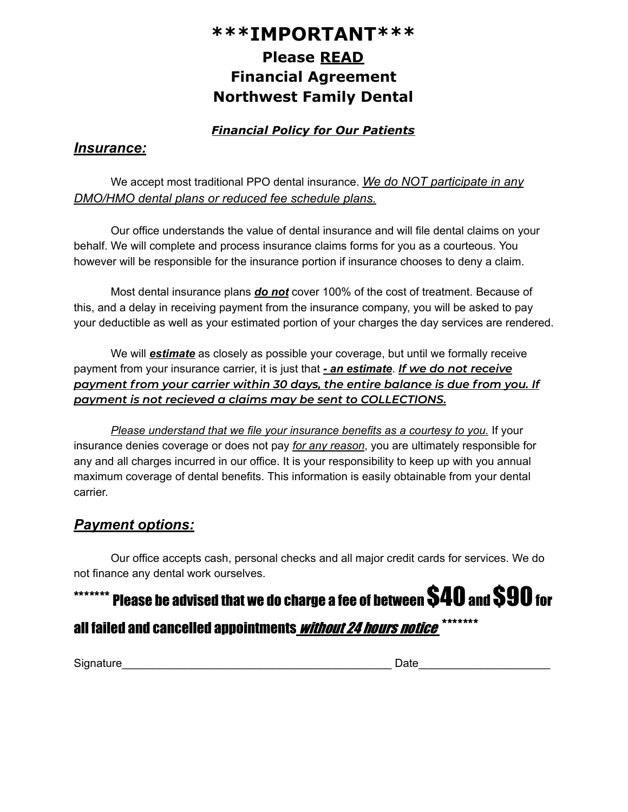## **\*\*\*IMPORTANT\*\*\* Please READ Financial Agreement Northwest Family Dental**

## *Financial Policy for Our Patients*

## *Insurance:*

We accept most traditional PPO dental insurance. *We do NOT participate in any DMO/HMO dental plans or reduced fee schedule plans.*

Our office understands the value of dental insurance and will file dental claims on your behalf. We will complete and process insurance claims forms for you as a courteous. You however will be responsible for the insurance portion if insurance chooses to deny a claim.

Most dental insurance plans *do not* cover 100% of the cost of treatment. Because of this, and a delay in receiving payment from the insurance company, you will be asked to pay your deductible as well as your estimated portion of your charges the day services are rendered.

We will *estimate* as closely as possible your coverage, but until we formally receive payment from your insurance carrier, it is just that *- an estimate*. *If we do not receive payment from your carrier within 30 days, the entire balance is due from you. If payment is not recieved a claims may be sent to COLLECTIONS.*

*Please understand that we file your insurance benefits as a courtesy to you.* If your insurance denies coverage or does not pay *for any reason*, you are ultimately responsible for any and all charges incurred in our office. It is your responsibility to keep up with you annual maximum coverage of dental benefits. This information is easily obtainable from your dental carrier.

## *Payment options:*

Our office accepts cash, personal checks and all major credit cards for services. We do not finance any dental work ourselves.

# \*\*\*\*\*\*\*\* Please be advised that we do charge a fee of between  $\textsf{\$40}$  and  $\textsf{S90}$  for all failed and cancelled appointments<u> *without 24 hours notice* \*\*\*\*\*\*\*</u>

Signature\_\_\_\_\_\_\_\_\_\_\_\_\_\_\_\_\_\_\_\_\_\_\_\_\_\_\_\_\_\_\_\_\_\_\_\_\_\_\_\_\_\_\_ Date\_\_\_\_\_\_\_\_\_\_\_\_\_\_\_\_\_\_\_\_\_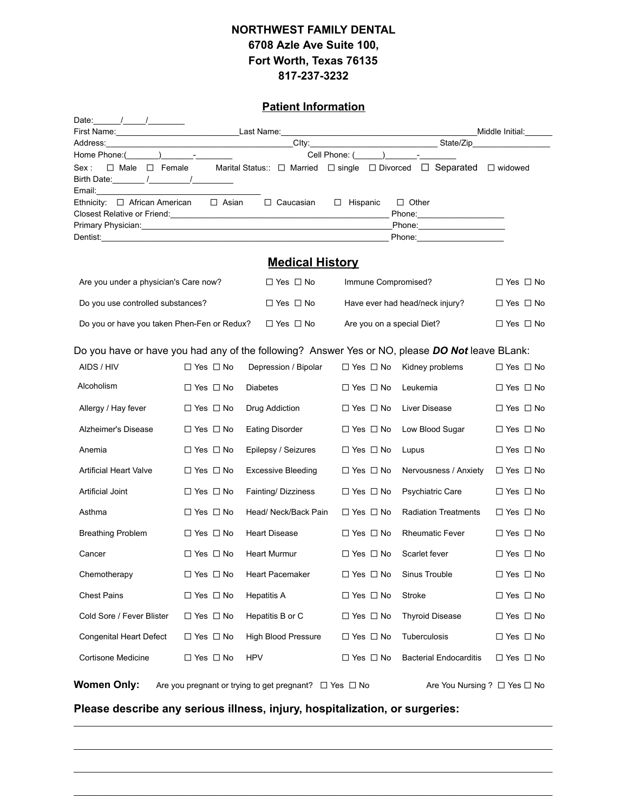### **NORTHWEST FAMILY DENTAL 6708 Azle Ave Suite 100, Fort Worth, Texas 76135 817-237-3232**

#### **Patient Information**

| Date: $\frac{1}{\sqrt{2\pi}}$                                                                  |                                                                                                  |                            |                            |                                                                      |                            |  |  |
|------------------------------------------------------------------------------------------------|--------------------------------------------------------------------------------------------------|----------------------------|----------------------------|----------------------------------------------------------------------|----------------------------|--|--|
|                                                                                                |                                                                                                  |                            | Middle Initial:            |                                                                      |                            |  |  |
|                                                                                                |                                                                                                  |                            |                            |                                                                      |                            |  |  |
| Home Phone: $(\_\_\_\_\_\_\_\_$                                                                |                                                                                                  |                            | Cell Phone: ( ) -          |                                                                      |                            |  |  |
| $\Box$ Male $\Box$ Female<br>Sex:                                                              |                                                                                                  |                            |                            | Marital Status:: □ Married □ single □ Divorced □ Separated □ widowed |                            |  |  |
| Birth Date: ________ /___________/___________                                                  |                                                                                                  |                            |                            |                                                                      |                            |  |  |
| Email:<br>Ethnicity: $\Box$ African American $\Box$ Asian                                      |                                                                                                  | □ Caucasian                | $\Box$ Hispanic            | $\Box$ Other                                                         |                            |  |  |
|                                                                                                |                                                                                                  |                            |                            |                                                                      |                            |  |  |
|                                                                                                |                                                                                                  |                            |                            |                                                                      |                            |  |  |
|                                                                                                |                                                                                                  |                            |                            |                                                                      |                            |  |  |
|                                                                                                |                                                                                                  |                            |                            |                                                                      |                            |  |  |
|                                                                                                |                                                                                                  | <b>Medical History</b>     |                            |                                                                      |                            |  |  |
| Are you under a physician's Care now?                                                          |                                                                                                  | $\Box$ Yes $\Box$ No       | Immune Compromised?        |                                                                      | $\Box$ Yes $\Box$ No       |  |  |
| Do you use controlled substances?                                                              |                                                                                                  | $\Box$ Yes $\Box$ No       |                            | Have ever had head/neck injury?                                      | $\Box$ Yes $\Box$ No       |  |  |
| Do you or have you taken Phen-Fen or Redux?                                                    |                                                                                                  | $\Box$ Yes $\Box$ No       | Are you on a special Diet? |                                                                      | $\Box$ Yes $\Box$ No       |  |  |
| Do you have or have you had any of the following? Answer Yes or NO, please DO Not leave BLank: |                                                                                                  |                            |                            |                                                                      |                            |  |  |
| AIDS / HIV                                                                                     | $\Box$ Yes $\Box$ No                                                                             | Depression / Bipolar       | $\Box$ Yes $\Box$ No       | Kidney problems                                                      | $\Box$ Yes $\Box$ No       |  |  |
| Alcoholism                                                                                     | $\Box$ Yes $\Box$ No                                                                             | Diabetes                   | $\Box$ Yes $\Box$ No       | Leukemia                                                             | $\Box$ Yes $\Box$ No       |  |  |
| Allergy / Hay fever                                                                            | $\Box$ Yes $\Box$ No                                                                             | Drug Addiction             | $\Box$ Yes $\Box$ No       | Liver Disease                                                        | $\Box$ Yes $\Box$ No       |  |  |
| Alzheimer's Disease                                                                            | $\Box$ Yes $\Box$ No                                                                             | <b>Eating Disorder</b>     | $\Box$ Yes $\Box$ No       | Low Blood Sugar                                                      | $\Box$ Yes $\Box$ No       |  |  |
| Anemia                                                                                         | $\Box$ Yes $\Box$ No                                                                             | Epilepsy / Seizures        | $\Box$ Yes $\Box$ No       | Lupus                                                                | $\Box$ Yes $\Box$ No       |  |  |
| <b>Artificial Heart Valve</b>                                                                  | $\Box$ Yes $\Box$ No                                                                             | <b>Excessive Bleeding</b>  | $\Box$ Yes $\Box$ No       | Nervousness / Anxiety                                                | $\Box$ Yes $\Box$ No       |  |  |
| Artificial Joint                                                                               | $\Box$ Yes $\Box$ No                                                                             | Fainting/Dizziness         | $\Box$ Yes $\Box$ No       | Psychiatric Care                                                     | $\Box$ Yes $\Box$ No       |  |  |
| Asthma                                                                                         | $\Box$ Yes $\Box$ No                                                                             | Head/ Neck/Back Pain       | $\Box$ Yes $\Box$ No       | <b>Radiation Treatments</b>                                          | $\Box$ Yes $\Box$ No       |  |  |
| <b>Breathing Problem</b>                                                                       | $\Box$ Yes $\Box$ No                                                                             | <b>Heart Disease</b>       | $\Box$ Yes $\Box$ No       | <b>Rheumatic Fever</b>                                               | $\Box$ Yes $\Box$ No       |  |  |
| Cancer                                                                                         | $\Box$ Yes $\Box$ No                                                                             | Heart Murmur               | $\Box$ Yes $\Box$ No       | Scarlet fever                                                        | $\Box$ Yes $\Box$ No       |  |  |
| Chemotherapy                                                                                   | $\square$ Yes $\square$ No                                                                       | Heart Pacemaker            | $\square$ Yes $\square$ No | Sinus Trouble                                                        | $\Box$ Yes $\Box$ No       |  |  |
| <b>Chest Pains</b>                                                                             | $\Box$ Yes $\Box$ No                                                                             | <b>Hepatitis A</b>         | $\Box$ Yes $\Box$ No       | Stroke                                                               | $\square$ Yes $\square$ No |  |  |
| Cold Sore / Fever Blister                                                                      | $\Box$ Yes $\Box$ No                                                                             | Hepatitis B or C           | $\Box$ Yes $\Box$ No       | <b>Thyroid Disease</b>                                               | $\Box$ Yes $\Box$ No       |  |  |
| Congenital Heart Defect                                                                        | $\Box$ Yes $\Box$ No                                                                             | <b>High Blood Pressure</b> | $\Box$ Yes $\Box$ No       | Tuberculosis                                                         | $\Box$ Yes $\Box$ No       |  |  |
| <b>Cortisone Medicine</b>                                                                      | $\Box$ Yes $\Box$ No                                                                             | <b>HPV</b>                 | $\Box$ Yes $\Box$ No       | <b>Bacterial Endocarditis</b>                                        | $\Box$ Yes $\Box$ No       |  |  |
| <b>Women Only:</b>                                                                             | Are you pregnant or trying to get pregnant? $\Box$ Yes $\Box$ No<br>Are You Nursing ? □ Yes □ No |                            |                            |                                                                      |                            |  |  |

**Please describe any serious illness, injury, hospitalization, or surgeries:**

\_\_\_\_\_\_\_\_\_\_\_\_\_\_\_\_\_\_\_\_\_\_\_\_\_\_\_\_\_\_\_\_\_\_\_\_\_\_\_\_\_\_\_\_\_\_\_\_\_\_\_\_\_\_\_\_\_\_\_\_\_\_\_\_\_\_\_\_\_\_\_\_\_\_\_\_\_\_\_\_\_\_\_\_\_\_\_\_\_\_\_\_\_\_\_\_\_\_\_\_\_\_\_\_\_

\_\_\_\_\_\_\_\_\_\_\_\_\_\_\_\_\_\_\_\_\_\_\_\_\_\_\_\_\_\_\_\_\_\_\_\_\_\_\_\_\_\_\_\_\_\_\_\_\_\_\_\_\_\_\_\_\_\_\_\_\_\_\_\_\_\_\_\_\_\_\_\_\_\_\_\_\_\_\_\_\_\_\_\_\_\_\_\_\_\_\_\_\_\_\_\_\_\_\_\_\_\_\_\_\_

\_\_\_\_\_\_\_\_\_\_\_\_\_\_\_\_\_\_\_\_\_\_\_\_\_\_\_\_\_\_\_\_\_\_\_\_\_\_\_\_\_\_\_\_\_\_\_\_\_\_\_\_\_\_\_\_\_\_\_\_\_\_\_\_\_\_\_\_\_\_\_\_\_\_\_\_\_\_\_\_\_\_\_\_\_\_\_\_\_\_\_\_\_\_\_\_\_\_\_\_\_\_\_\_\_

 $\mathcal{L}_\mathcal{L} = \mathcal{L}_\mathcal{L} = \mathcal{L}_\mathcal{L} = \mathcal{L}_\mathcal{L} = \mathcal{L}_\mathcal{L} = \mathcal{L}_\mathcal{L} = \mathcal{L}_\mathcal{L} = \mathcal{L}_\mathcal{L} = \mathcal{L}_\mathcal{L} = \mathcal{L}_\mathcal{L} = \mathcal{L}_\mathcal{L} = \mathcal{L}_\mathcal{L} = \mathcal{L}_\mathcal{L} = \mathcal{L}_\mathcal{L} = \mathcal{L}_\mathcal{L} = \mathcal{L}_\mathcal{L} = \mathcal{L}_\mathcal{L}$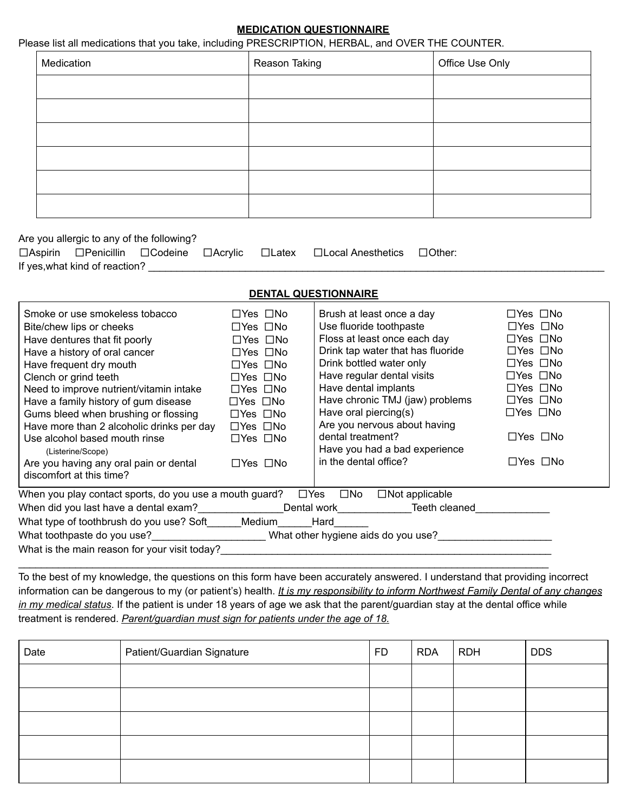#### **MEDICATION QUESTIONNAIRE**

#### Please list all medications that you take, including PRESCRIPTION, HERBAL, and OVER THE COUNTER.

| Medication | Reason Taking | Office Use Only |
|------------|---------------|-----------------|
|            |               |                 |
|            |               |                 |
|            |               |                 |
|            |               |                 |
|            |               |                 |
|            |               |                 |

Are you allergic to any of the following?

|                                |  | □Aspirin □Penicillin □Codeine □Acrylic □Latex □Local Anesthetics □Other: |  |
|--------------------------------|--|--------------------------------------------------------------------------|--|
| If yes, what kind of reaction? |  |                                                                          |  |

#### **DENTAL QUESTIONNAIRE**

| Smoke or use smokeless tobacco                                                   | $\Box Y$ es $\Box$ No | Brush at least once a day             | $\Box Y$ es $\Box$ No |  |  |  |
|----------------------------------------------------------------------------------|-----------------------|---------------------------------------|-----------------------|--|--|--|
| Bite/chew lips or cheeks                                                         | $\Box Y$ es $\Box$ No | Use fluoride toothpaste               | $\Box Y$ es $\Box$ No |  |  |  |
| Have dentures that fit poorly                                                    | $\Box$ Yes $\Box$ No  | Floss at least once each day          | $\Box$ Yes $\Box$ No  |  |  |  |
| Have a history of oral cancer                                                    | $\Box$ Yes $\Box$ No  | Drink tap water that has fluoride     | $\Box Y$ es $\Box$ No |  |  |  |
| Have frequent dry mouth                                                          | $\Box$ Yes $\Box$ No  | Drink bottled water only              | $\Box Y$ es $\Box$ No |  |  |  |
| Clench or grind teeth                                                            | $\Box$ Yes $\Box$ No  | Have regular dental visits            | $\Box Y$ es $\Box$ No |  |  |  |
| Need to improve nutrient/vitamin intake                                          | $\Box$ Yes $\Box$ No  | Have dental implants                  | $\Box Y$ es $\Box$ No |  |  |  |
| Have a family history of gum disease                                             | $\Box$ Yes $\Box$ No  | Have chronic TMJ (jaw) problems       | $\Box Y$ es $\Box$ No |  |  |  |
| Gums bleed when brushing or flossing                                             | $\Box$ Yes $\Box$ No  | Have oral piercing(s)                 | $\Box Y$ es $\Box$ No |  |  |  |
| Have more than 2 alcoholic drinks per day                                        | $\Box$ Yes $\Box$ No  | Are you nervous about having          |                       |  |  |  |
| Use alcohol based mouth rinse                                                    | $\Box$ Yes $\Box$ No  | dental treatment?                     | $\Box$ Yes $\Box$ No  |  |  |  |
| (Listerine/Scope)                                                                |                       | Have you had a bad experience         |                       |  |  |  |
| Are you having any oral pain or dental                                           | $\Box$ Yes $\Box$ No  | in the dental office?                 | $\Box Y$ es $\Box$ No |  |  |  |
| discomfort at this time?                                                         |                       |                                       |                       |  |  |  |
| When you play contact sports, do you use a mouth guard? $\square$ Yes            |                       | $\Box$ Not applicable<br>$\square$ No |                       |  |  |  |
| When did you last have a dental exam?________________Dental work________________ |                       | Teeth cleaned                         |                       |  |  |  |
| What type of toothbrush do you use? Soft Medium                                  |                       | Hard                                  |                       |  |  |  |
| What toothpaste do you use?            What other hygiene aids do you use?       |                       |                                       |                       |  |  |  |
| What is the main reason for your visit today?                                    |                       |                                       |                       |  |  |  |
|                                                                                  |                       |                                       |                       |  |  |  |

To the best of my knowledge, the questions on this form have been accurately answered. I understand that providing incorrect information can be dangerous to my (or patient's) health. *It is my responsibility to inform Northwest Family Dental of any changes in my medical status*. If the patient is under 18 years of age we ask that the parent/guardian stay at the dental office while treatment is rendered. *Parent/guardian must sign for patients under the age of 18.*

| Date | Patient/Guardian Signature | <b>FD</b> | <b>RDA</b> | <b>RDH</b> | <b>DDS</b> |
|------|----------------------------|-----------|------------|------------|------------|
|      |                            |           |            |            |            |
|      |                            |           |            |            |            |
|      |                            |           |            |            |            |
|      |                            |           |            |            |            |
|      |                            |           |            |            |            |